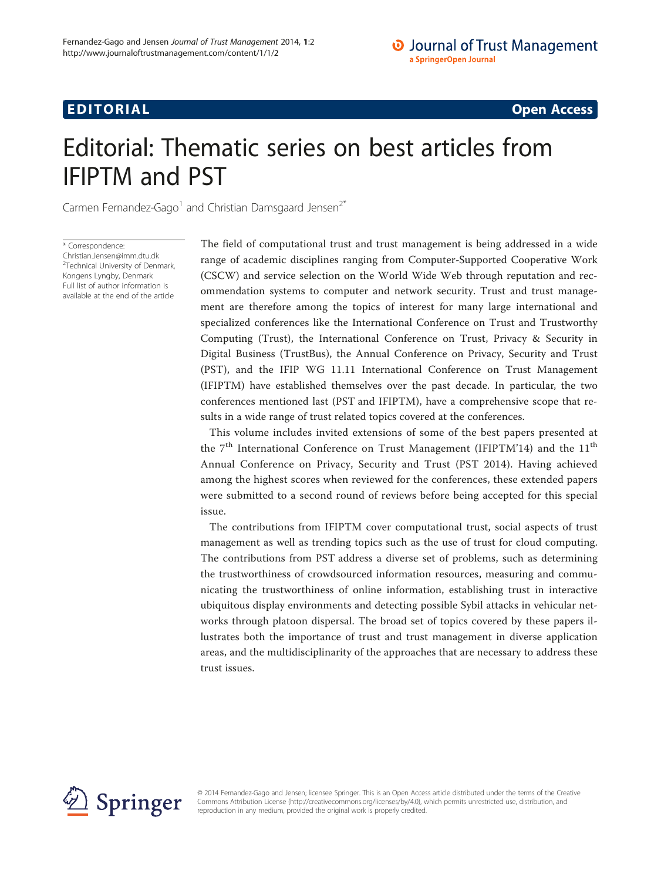## **EDITORIAL** CONTROL CONTROL CONTROL CONTROL CONTROL CONTROL CONTROL CONTROL CONTROL CONTROL CONTROL CONTROL CONTROL CONTROL CONTROL CONTROL CONTROL CONTROL CONTROL CONTROL CONTROL CONTROL CONTROL CONTROL CONTROL CONTROL CO

# Editorial: Thematic series on best articles from IFIPTM and PST

Carmen Fernandez-Gago<sup>1</sup> and Christian Damsgaard Jensen<sup> $2*$ </sup>

\* Correspondence:

[Christian.Jensen@imm.dtu.dk](mailto:Christian.Jensen@imm.dtu.dk) <sup>2</sup>Technical University of Denmark, Kongens Lyngby, Denmark Full list of author information is available at the end of the article The field of computational trust and trust management is being addressed in a wide range of academic disciplines ranging from Computer-Supported Cooperative Work (CSCW) and service selection on the World Wide Web through reputation and recommendation systems to computer and network security. Trust and trust management are therefore among the topics of interest for many large international and specialized conferences like the International Conference on Trust and Trustworthy Computing (Trust), the International Conference on Trust, Privacy & Security in Digital Business (TrustBus), the Annual Conference on Privacy, Security and Trust (PST), and the IFIP WG 11.11 International Conference on Trust Management (IFIPTM) have established themselves over the past decade. In particular, the two conferences mentioned last (PST and IFIPTM), have a comprehensive scope that results in a wide range of trust related topics covered at the conferences.

This volume includes invited extensions of some of the best papers presented at the  $7<sup>th</sup>$  International Conference on Trust Management (IFIPTM'14) and the  $11<sup>th</sup>$ Annual Conference on Privacy, Security and Trust (PST 2014). Having achieved among the highest scores when reviewed for the conferences, these extended papers were submitted to a second round of reviews before being accepted for this special issue.

The contributions from IFIPTM cover computational trust, social aspects of trust management as well as trending topics such as the use of trust for cloud computing. The contributions from PST address a diverse set of problems, such as determining the trustworthiness of crowdsourced information resources, measuring and communicating the trustworthiness of online information, establishing trust in interactive ubiquitous display environments and detecting possible Sybil attacks in vehicular networks through platoon dispersal. The broad set of topics covered by these papers illustrates both the importance of trust and trust management in diverse application areas, and the multidisciplinarity of the approaches that are necessary to address these trust issues.



© 2014 Fernandez-Gago and Jensen; licensee Springer. This is an Open Access article distributed under the terms of the Creative Commons Attribution License (<http://creativecommons.org/licenses/by/4.0>), which permits unrestricted use, distribution, and reproduction in any medium, provided the original work is properly credited.